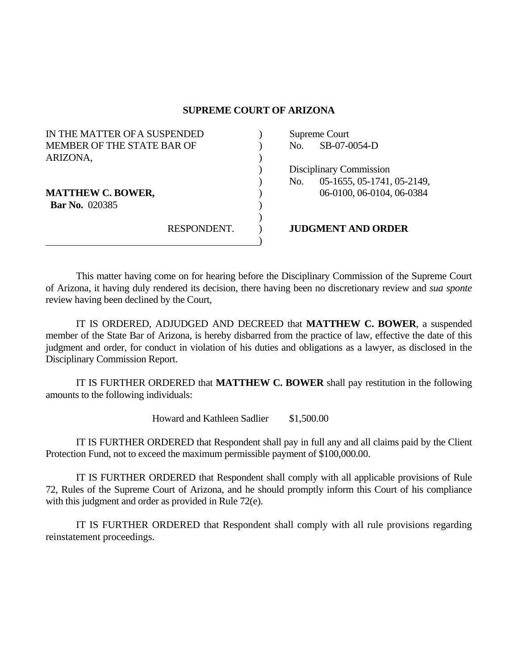## **SUPREME COURT OF ARIZONA**

| IN THE MATTER OF A SUSPENDED |             | Supreme Court |                            |
|------------------------------|-------------|---------------|----------------------------|
| MEMBER OF THE STATE BAR OF   |             | No.           | SB-07-0054-D               |
| ARIZONA,                     |             |               |                            |
|                              |             |               | Disciplinary Commission    |
|                              |             | No.           | 05-1655, 05-1741, 05-2149, |
| <b>MATTHEW C. BOWER,</b>     |             |               | 06-0100, 06-0104, 06-0384  |
| <b>Bar No.</b> 020385        |             |               |                            |
|                              |             |               |                            |
|                              | RESPONDENT. |               | <b>JUDGMENT AND ORDER</b>  |
|                              |             |               |                            |

 This matter having come on for hearing before the Disciplinary Commission of the Supreme Court of Arizona, it having duly rendered its decision, there having been no discretionary review and *sua sponte* review having been declined by the Court,

 IT IS ORDERED, ADJUDGED AND DECREED that **MATTHEW C. BOWER**, a suspended member of the State Bar of Arizona, is hereby disbarred from the practice of law, effective the date of this judgment and order, for conduct in violation of his duties and obligations as a lawyer, as disclosed in the Disciplinary Commission Report.

 IT IS FURTHER ORDERED that **MATTHEW C. BOWER** shall pay restitution in the following amounts to the following individuals:

Howard and Kathleen Sadlier \$1,500.00

 IT IS FURTHER ORDERED that Respondent shall pay in full any and all claims paid by the Client Protection Fund, not to exceed the maximum permissible payment of \$100,000.00.

 IT IS FURTHER ORDERED that Respondent shall comply with all applicable provisions of Rule 72, Rules of the Supreme Court of Arizona, and he should promptly inform this Court of his compliance with this judgment and order as provided in Rule 72(e).

 IT IS FURTHER ORDERED that Respondent shall comply with all rule provisions regarding reinstatement proceedings.